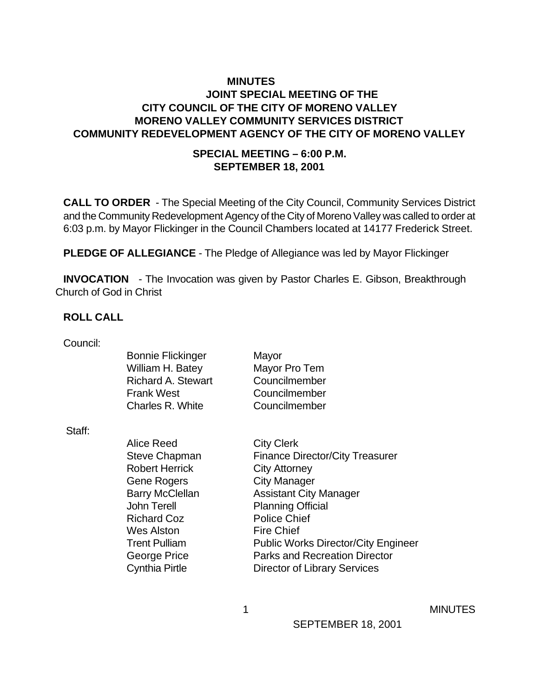## **MINUTES JOINT SPECIAL MEETING OF THE CITY COUNCIL OF THE CITY OF MORENO VALLEY MORENO VALLEY COMMUNITY SERVICES DISTRICT COMMUNITY REDEVELOPMENT AGENCY OF THE CITY OF MORENO VALLEY**

#### **SPECIAL MEETING – 6:00 P.M. SEPTEMBER 18, 2001**

**CALL TO ORDER** - The Special Meeting of the City Council, Community Services District and the Community Redevelopment Agency of the City of Moreno Valley was called to order at 6:03 p.m. by Mayor Flickinger in the Council Chambers located at 14177 Frederick Street.

**PLEDGE OF ALLEGIANCE** - The Pledge of Allegiance was led by Mayor Flickinger

**INVOCATION** - The Invocation was given by Pastor Charles E. Gibson, Breakthrough Church of God in Christ

#### **ROLL CALL**

Council:

Staff:

| <b>Bonnie Flickinger</b>  | Mayor                                  |
|---------------------------|----------------------------------------|
| William H. Batey          | Mayor Pro Tem                          |
| <b>Richard A. Stewart</b> | Councilmember                          |
| <b>Frank West</b>         | Councilmember                          |
| Charles R. White          | Councilmember                          |
|                           |                                        |
| Alice Reed                | <b>City Clerk</b>                      |
| <b>Steve Chapman</b>      | <b>Finance Director/City Treasurer</b> |
| <b>Robert Herrick</b>     | <b>City Attorney</b>                   |
| Gene Rogers               | <b>City Manager</b>                    |
| <b>Barry McClellan</b>    | <b>Assistant City Manager</b>          |
| <b>John Terell</b>        | <b>Planning Official</b>               |
| <b>Richard Coz</b>        | <b>Police Chief</b>                    |

Trent Pulliam Public Works Director/City Engineer George Price **Parks and Recreation Director** Cynthia Pirtle Director of Library Services

Wes Alston Fire Chief

1 MINUTES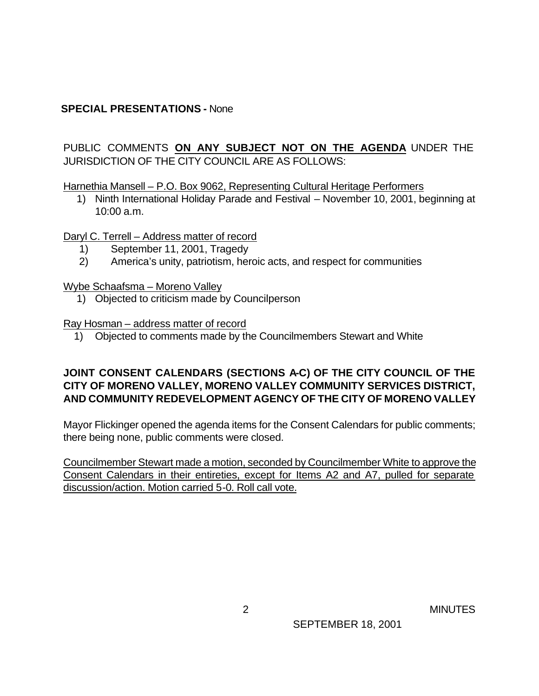### **SPECIAL PRESENTATIONS -** None

## PUBLIC COMMENTS **ON ANY SUBJECT NOT ON THE AGENDA** UNDER THE JURISDICTION OF THE CITY COUNCIL ARE AS FOLLOWS:

Harnethia Mansell – P.O. Box 9062, Representing Cultural Heritage Performers

 1) Ninth International Holiday Parade and Festival – November 10, 2001, beginning at 10:00 a.m.

#### Daryl C. Terrell – Address matter of record

- 1) September 11, 2001, Tragedy
- 2) America's unity, patriotism, heroic acts, and respect for communities

#### Wybe Schaafsma – Moreno Valley

1) Objected to criticism made by Councilperson

#### Ray Hosman – address matter of record

1) Objected to comments made by the Councilmembers Stewart and White

### **JOINT CONSENT CALENDARS (SECTIONS A-C) OF THE CITY COUNCIL OF THE CITY OF MORENO VALLEY, MORENO VALLEY COMMUNITY SERVICES DISTRICT, AND COMMUNITY REDEVELOPMENT AGENCY OF THE CITY OF MORENO VALLEY**

Mayor Flickinger opened the agenda items for the Consent Calendars for public comments; there being none, public comments were closed.

Councilmember Stewart made a motion, seconded by Councilmember White to approve the Consent Calendars in their entireties, except for Items A2 and A7, pulled for separate discussion/action. Motion carried 5-0. Roll call vote.

2 MINUTES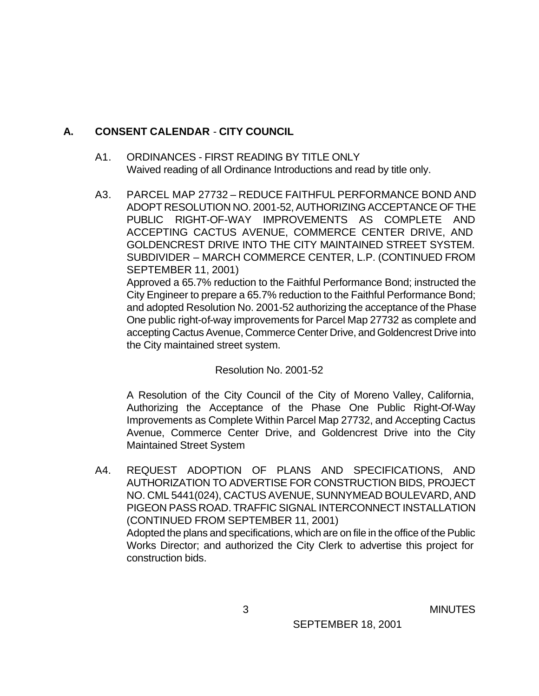## **A. CONSENT CALENDAR** - **CITY COUNCIL**

- A1. ORDINANCES FIRST READING BY TITLE ONLY Waived reading of all Ordinance Introductions and read by title only.
- A3. PARCEL MAP 27732 REDUCE FAITHFUL PERFORMANCE BOND AND ADOPT RESOLUTION NO. 2001-52, AUTHORIZING ACCEPTANCE OF THE PUBLIC RIGHT-OF-WAY IMPROVEMENTS AS COMPLETE AND ACCEPTING CACTUS AVENUE, COMMERCE CENTER DRIVE, AND GOLDENCREST DRIVE INTO THE CITY MAINTAINED STREET SYSTEM. SUBDIVIDER – MARCH COMMERCE CENTER, L.P. (CONTINUED FROM SEPTEMBER 11, 2001) Approved a 65.7% reduction to the Faithful Performance Bond; instructed the

City Engineer to prepare a 65.7% reduction to the Faithful Performance Bond; and adopted Resolution No. 2001-52 authorizing the acceptance of the Phase One public right-of-way improvements for Parcel Map 27732 as complete and accepting Cactus Avenue, Commerce Center Drive, and Goldencrest Drive into the City maintained street system.

### Resolution No. 2001-52

A Resolution of the City Council of the City of Moreno Valley, California, Authorizing the Acceptance of the Phase One Public Right-Of-Way Improvements as Complete Within Parcel Map 27732, and Accepting Cactus Avenue, Commerce Center Drive, and Goldencrest Drive into the City Maintained Street System

A4. REQUEST ADOPTION OF PLANS AND SPECIFICATIONS, AND AUTHORIZATION TO ADVERTISE FOR CONSTRUCTION BIDS, PROJECT NO. CML 5441(024), CACTUS AVENUE, SUNNYMEAD BOULEVARD, AND PIGEON PASS ROAD. TRAFFIC SIGNAL INTERCONNECT INSTALLATION (CONTINUED FROM SEPTEMBER 11, 2001) Adopted the plans and specifications, which are on file in the office of the Public Works Director; and authorized the City Clerk to advertise this project for construction bids.

3 MINUTES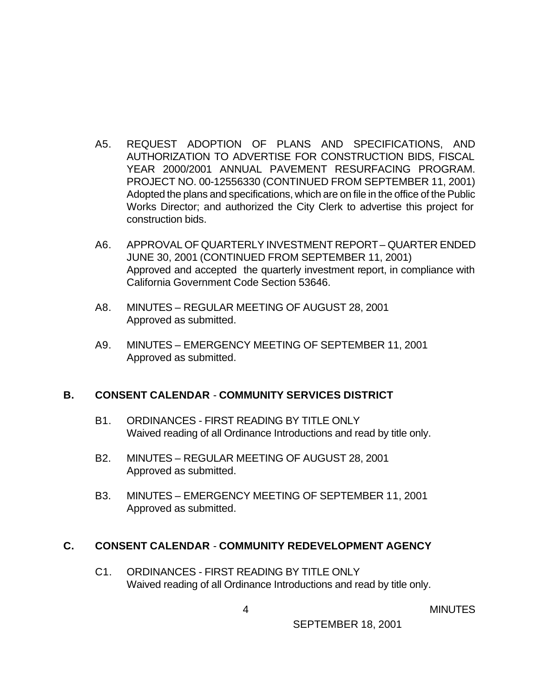- A5. REQUEST ADOPTION OF PLANS AND SPECIFICATIONS, AND AUTHORIZATION TO ADVERTISE FOR CONSTRUCTION BIDS, FISCAL YEAR 2000/2001 ANNUAL PAVEMENT RESURFACING PROGRAM. PROJECT NO. 00-12556330 (CONTINUED FROM SEPTEMBER 11, 2001) Adopted the plans and specifications, which are on file in the office of the Public Works Director; and authorized the City Clerk to advertise this project for construction bids.
- A6. APPROVAL OF QUARTERLY INVESTMENT REPORT QUARTER ENDED JUNE 30, 2001 (CONTINUED FROM SEPTEMBER 11, 2001) Approved and accepted the quarterly investment report, in compliance with California Government Code Section 53646.
- A8. MINUTES REGULAR MEETING OF AUGUST 28, 2001 Approved as submitted.
- A9. MINUTES EMERGENCY MEETING OF SEPTEMBER 11, 2001 Approved as submitted.

### **B. CONSENT CALENDAR** - **COMMUNITY SERVICES DISTRICT**

- B1. ORDINANCES FIRST READING BY TITLE ONLY Waived reading of all Ordinance Introductions and read by title only.
- B2. MINUTES REGULAR MEETING OF AUGUST 28, 2001 Approved as submitted.
- B3. MINUTES EMERGENCY MEETING OF SEPTEMBER 11, 2001 Approved as submitted.

### **C. CONSENT CALENDAR** - **COMMUNITY REDEVELOPMENT AGENCY**

C1. ORDINANCES - FIRST READING BY TITLE ONLY Waived reading of all Ordinance Introductions and read by title only.

4 MINUTES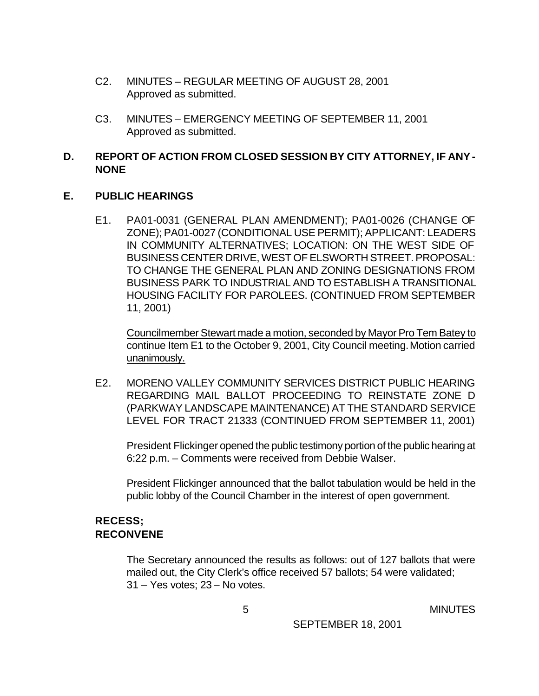- C2. MINUTES REGULAR MEETING OF AUGUST 28, 2001 Approved as submitted.
- C3. MINUTES EMERGENCY MEETING OF SEPTEMBER 11, 2001 Approved as submitted.

### **D. REPORT OF ACTION FROM CLOSED SESSION BY CITY ATTORNEY, IF ANY - NONE**

#### **E. PUBLIC HEARINGS**

E1. PA01-0031 (GENERAL PLAN AMENDMENT); PA01-0026 (CHANGE OF ZONE); PA01-0027 (CONDITIONAL USE PERMIT); APPLICANT: LEADERS IN COMMUNITY ALTERNATIVES; LOCATION: ON THE WEST SIDE OF BUSINESS CENTER DRIVE, WEST OF ELSWORTH STREET. PROPOSAL: TO CHANGE THE GENERAL PLAN AND ZONING DESIGNATIONS FROM BUSINESS PARK TO INDUSTRIAL AND TO ESTABLISH A TRANSITIONAL HOUSING FACILITY FOR PAROLEES. (CONTINUED FROM SEPTEMBER 11, 2001)

Councilmember Stewart made a motion, seconded by Mayor Pro Tem Batey to continue Item E1 to the October 9, 2001, City Council meeting. Motion carried unanimously.

E2. MORENO VALLEY COMMUNITY SERVICES DISTRICT PUBLIC HEARING REGARDING MAIL BALLOT PROCEEDING TO REINSTATE ZONE D (PARKWAY LANDSCAPE MAINTENANCE) AT THE STANDARD SERVICE LEVEL FOR TRACT 21333 (CONTINUED FROM SEPTEMBER 11, 2001)

President Flickinger opened the public testimony portion of the public hearing at 6:22 p.m. – Comments were received from Debbie Walser.

President Flickinger announced that the ballot tabulation would be held in the public lobby of the Council Chamber in the interest of open government.

### **RECESS; RECONVENE**

The Secretary announced the results as follows: out of 127 ballots that were mailed out, the City Clerk's office received 57 ballots; 54 were validated; 31 – Yes votes; 23 – No votes.

5 MINUTES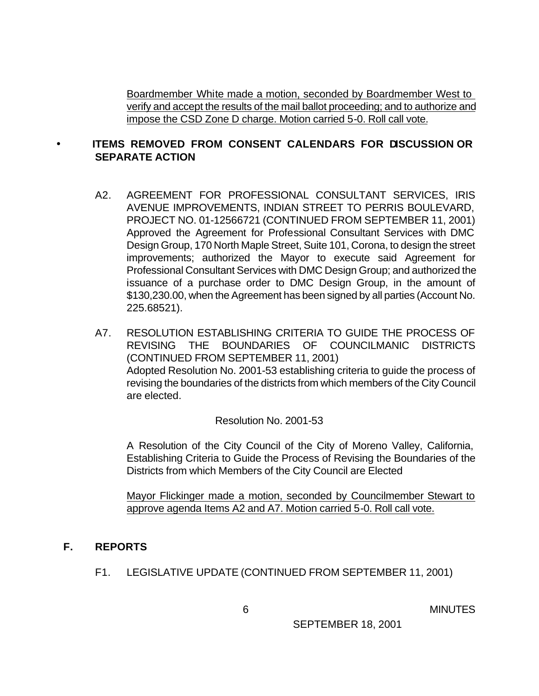Boardmember White made a motion, seconded by Boardmember West to verify and accept the results of the mail ballot proceeding; and to authorize and impose the CSD Zone D charge. Motion carried 5-0. Roll call vote.

### • **ITEMS REMOVED FROM CONSENT CALENDARS FOR DISCUSSION OR SEPARATE ACTION**

- A2. AGREEMENT FOR PROFESSIONAL CONSULTANT SERVICES, IRIS AVENUE IMPROVEMENTS, INDIAN STREET TO PERRIS BOULEVARD, PROJECT NO. 01-12566721 (CONTINUED FROM SEPTEMBER 11, 2001) Approved the Agreement for Professional Consultant Services with DMC Design Group, 170 North Maple Street, Suite 101, Corona, to design the street improvements; authorized the Mayor to execute said Agreement for Professional Consultant Services with DMC Design Group; and authorized the issuance of a purchase order to DMC Design Group, in the amount of \$130,230.00, when the Agreement has been signed by all parties (Account No. 225.68521).
- A7. RESOLUTION ESTABLISHING CRITERIA TO GUIDE THE PROCESS OF REVISING THE BOUNDARIES OF COUNCILMANIC DISTRICTS (CONTINUED FROM SEPTEMBER 11, 2001) Adopted Resolution No. 2001-53 establishing criteria to guide the process of revising the boundaries of the districts from which members of the City Council are elected.

Resolution No. 2001-53

A Resolution of the City Council of the City of Moreno Valley, California, Establishing Criteria to Guide the Process of Revising the Boundaries of the Districts from which Members of the City Council are Elected

Mayor Flickinger made a motion, seconded by Councilmember Stewart to approve agenda Items A2 and A7. Motion carried 5-0. Roll call vote.

#### **F. REPORTS**

F1. LEGISLATIVE UPDATE (CONTINUED FROM SEPTEMBER 11, 2001)

**6** MINUTES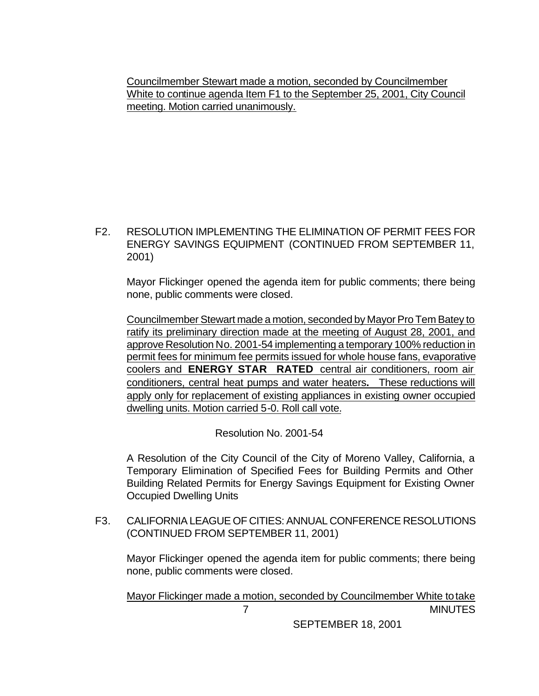Councilmember Stewart made a motion, seconded by Councilmember White to continue agenda Item F1 to the September 25, 2001, City Council meeting. Motion carried unanimously.

F2. RESOLUTION IMPLEMENTING THE ELIMINATION OF PERMIT FEES FOR ENERGY SAVINGS EQUIPMENT (CONTINUED FROM SEPTEMBER 11, 2001)

Mayor Flickinger opened the agenda item for public comments; there being none, public comments were closed.

Councilmember Stewart made a motion, seconded by Mayor Pro Tem Batey to ratify its preliminary direction made at the meeting of August 28, 2001, and approve Resolution No. 2001-54 implementing a temporary 100% reduction in permit fees for minimum fee permits issued for whole house fans, evaporative coolers and **ENERGY STAR RATED** central air conditioners, room air conditioners, central heat pumps and water heaters**.** These reductions will apply only for replacement of existing appliances in existing owner occupied dwelling units. Motion carried 5-0. Roll call vote.

Resolution No. 2001-54

A Resolution of the City Council of the City of Moreno Valley, California, a Temporary Elimination of Specified Fees for Building Permits and Other Building Related Permits for Energy Savings Equipment for Existing Owner Occupied Dwelling Units

F3. CALIFORNIA LEAGUE OF CITIES: ANNUAL CONFERENCE RESOLUTIONS (CONTINUED FROM SEPTEMBER 11, 2001)

Mayor Flickinger opened the agenda item for public comments; there being none, public comments were closed.

 7 MINUTES Mayor Flickinger made a motion, seconded by Councilmember White to take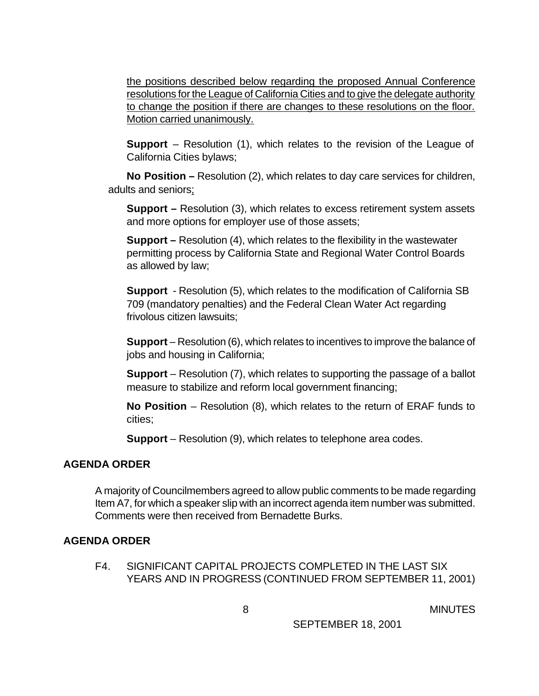the positions described below regarding the proposed Annual Conference resolutions for the League of California Cities and to give the delegate authority to change the position if there are changes to these resolutions on the floor. Motion carried unanimously.

**Support** – Resolution (1), which relates to the revision of the League of California Cities bylaws;

**No Position –** Resolution (2), which relates to day care services for children, adults and seniors;

**Support –** Resolution (3), which relates to excess retirement system assets and more options for employer use of those assets;

**Support –** Resolution (4), which relates to the flexibility in the wastewater permitting process by California State and Regional Water Control Boards as allowed by law;

**Support** - Resolution (5), which relates to the modification of California SB 709 (mandatory penalties) and the Federal Clean Water Act regarding frivolous citizen lawsuits;

**Support** – Resolution (6), which relates to incentives to improve the balance of jobs and housing in California;

**Support** – Resolution (7), which relates to supporting the passage of a ballot measure to stabilize and reform local government financing;

**No Position** – Resolution (8), which relates to the return of ERAF funds to cities;

**Support** – Resolution (9), which relates to telephone area codes.

#### **AGENDA ORDER**

A majority of Councilmembers agreed to allow public comments to be made regarding Item A7, for which a speaker slip with an incorrect agenda item number was submitted. Comments were then received from Bernadette Burks.

#### **AGENDA ORDER**

F4. SIGNIFICANT CAPITAL PROJECTS COMPLETED IN THE LAST SIX YEARS AND IN PROGRESS (CONTINUED FROM SEPTEMBER 11, 2001)

**8** MINUTES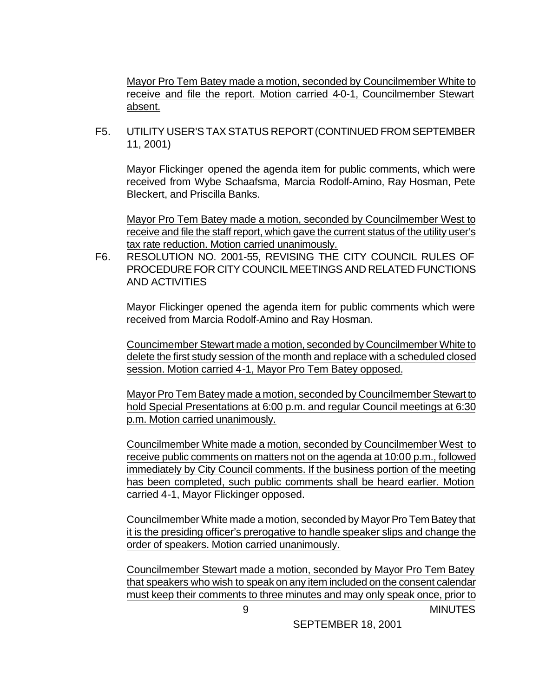Mayor Pro Tem Batey made a motion, seconded by Councilmember White to receive and file the report. Motion carried 4-0-1, Councilmember Stewart absent.

F5. UTILITY USER'S TAX STATUS REPORT (CONTINUED FROM SEPTEMBER 11, 2001)

Mayor Flickinger opened the agenda item for public comments, which were received from Wybe Schaafsma, Marcia Rodolf-Amino, Ray Hosman, Pete Bleckert, and Priscilla Banks.

Mayor Pro Tem Batey made a motion, seconded by Councilmember West to receive and file the staff report, which gave the current status of the utility user's tax rate reduction. Motion carried unanimously.

F6. RESOLUTION NO. 2001-55, REVISING THE CITY COUNCIL RULES OF PROCEDURE FOR CITY COUNCIL MEETINGS AND RELATED FUNCTIONS AND ACTIVITIES

Mayor Flickinger opened the agenda item for public comments which were received from Marcia Rodolf-Amino and Ray Hosman.

 Councimember Stewart made a motion, seconded by Councilmember White to delete the first study session of the month and replace with a scheduled closed session. Motion carried 4-1, Mayor Pro Tem Batey opposed.

Mayor Pro Tem Batey made a motion, seconded by Councilmember Stewart to hold Special Presentations at 6:00 p.m. and regular Council meetings at 6:30 p.m. Motion carried unanimously.

Councilmember White made a motion, seconded by Councilmember West to receive public comments on matters not on the agenda at 10:00 p.m., followed immediately by City Council comments. If the business portion of the meeting has been completed, such public comments shall be heard earlier. Motion carried 4-1, Mayor Flickinger opposed.

Councilmember White made a motion, seconded by Mayor Pro Tem Batey that it is the presiding officer's prerogative to handle speaker slips and change the order of speakers. Motion carried unanimously.

 9 MINUTES Councilmember Stewart made a motion, seconded by Mayor Pro Tem Batey that speakers who wish to speak on any item included on the consent calendar must keep their comments to three minutes and may only speak once, prior to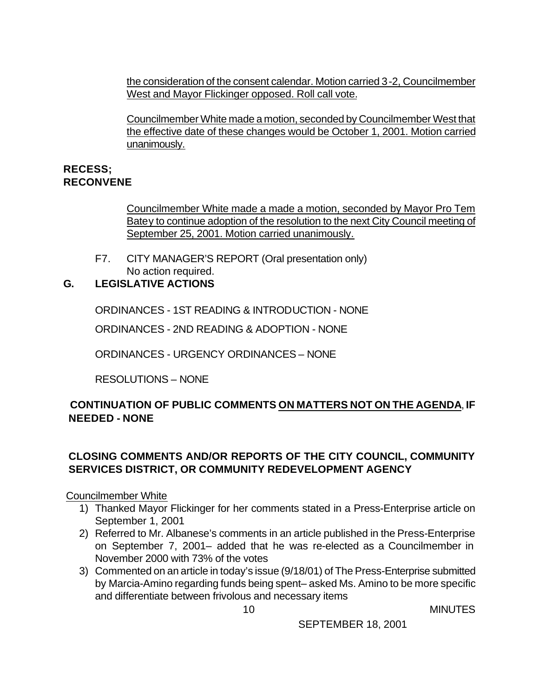the consideration of the consent calendar. Motion carried 3-2, Councilmember West and Mayor Flickinger opposed. Roll call vote.

Councilmember White made a motion, seconded by Councilmember West that the effective date of these changes would be October 1, 2001. Motion carried unanimously.

### **RECESS; RECONVENE**

Councilmember White made a made a motion, seconded by Mayor Pro Tem Batey to continue adoption of the resolution to the next City Council meeting of September 25, 2001. Motion carried unanimously.

F7. CITY MANAGER'S REPORT (Oral presentation only) No action required.

# **G. LEGISLATIVE ACTIONS**

ORDINANCES - 1ST READING & INTRODUCTION - NONE

ORDINANCES - 2ND READING & ADOPTION - NONE

ORDINANCES - URGENCY ORDINANCES – NONE

RESOLUTIONS – NONE

# **CONTINUATION OF PUBLIC COMMENTS ON MATTERS NOT ON THE AGENDA**, **IF NEEDED - NONE**

# **CLOSING COMMENTS AND/OR REPORTS OF THE CITY COUNCIL, COMMUNITY SERVICES DISTRICT, OR COMMUNITY REDEVELOPMENT AGENCY**

### Councilmember White

- 1) Thanked Mayor Flickinger for her comments stated in a Press-Enterprise article on September 1, 2001
- 2) Referred to Mr. Albanese's comments in an article published in the Press-Enterprise on September 7, 2001– added that he was re-elected as a Councilmember in November 2000 with 73% of the votes
- 3) Commented on an article in today's issue (9/18/01) of The Press-Enterprise submitted by Marcia-Amino regarding funds being spent– asked Ms. Amino to be more specific and differentiate between frivolous and necessary items

10 MINUTES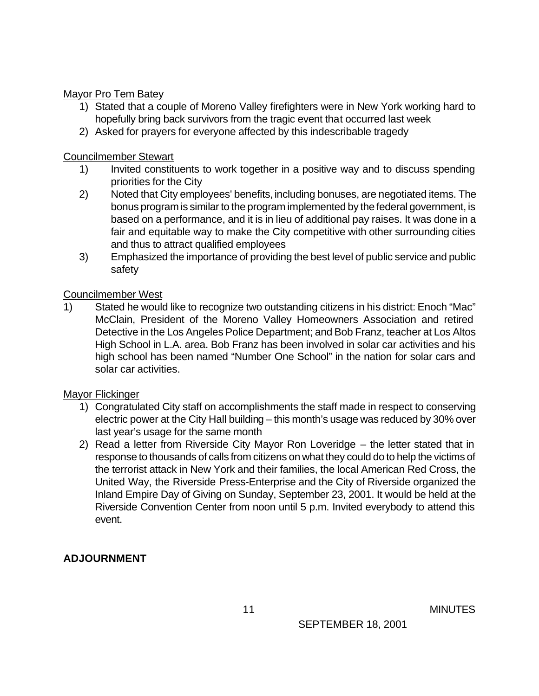### Mayor Pro Tem Batey

- 1) Stated that a couple of Moreno Valley firefighters were in New York working hard to hopefully bring back survivors from the tragic event that occurred last week
- 2) Asked for prayers for everyone affected by this indescribable tragedy

#### Councilmember Stewart

- 1) Invited constituents to work together in a positive way and to discuss spending priorities for the City
- 2) Noted that City employees' benefits, including bonuses, are negotiated items. The bonus program is similar to the program implemented by the federal government, is based on a performance, and it is in lieu of additional pay raises. It was done in a fair and equitable way to make the City competitive with other surrounding cities and thus to attract qualified employees
- 3) Emphasized the importance of providing the best level of public service and public safety

### Councilmember West

1) Stated he would like to recognize two outstanding citizens in his district: Enoch "Mac" McClain, President of the Moreno Valley Homeowners Association and retired Detective in the Los Angeles Police Department; and Bob Franz, teacher at Los Altos High School in L.A. area. Bob Franz has been involved in solar car activities and his high school has been named "Number One School" in the nation for solar cars and solar car activities.

### Mayor Flickinger

- 1) Congratulated City staff on accomplishments the staff made in respect to conserving electric power at the City Hall building – this month's usage was reduced by 30% over last year's usage for the same month
- 2) Read a letter from Riverside City Mayor Ron Loveridge the letter stated that in response to thousands of calls from citizens on what they could do to help the victims of the terrorist attack in New York and their families, the local American Red Cross, the United Way, the Riverside Press-Enterprise and the City of Riverside organized the Inland Empire Day of Giving on Sunday, September 23, 2001. It would be held at the Riverside Convention Center from noon until 5 p.m. Invited everybody to attend this event.

# **ADJOURNMENT**

11 MINUTES